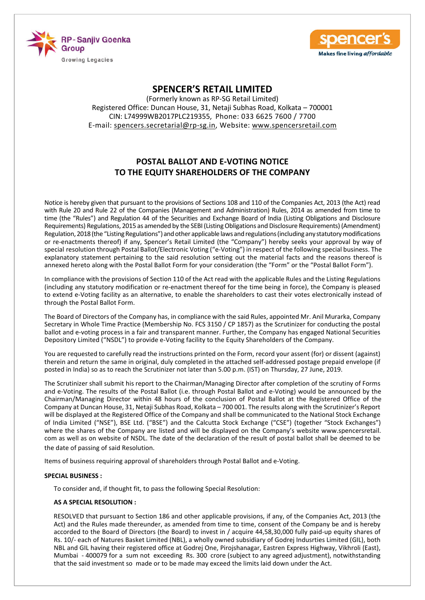



(Formerly known as RP-SG Retail Limited) Registered Office: Duncan House, 31, Netaji Subhas Road, Kolkata – 700001 CIN: L74999WB2017PLC219355, Phone: 033 6625 7600 / 7700 E-mail: spencers.secretarial@rp-sg.in, Website: www.spencersretail.com

# **POSTAL BALLOT AND E-VOTING NOTICE TO THE EQUITY SHAREHOLDERS OF THE COMPANY**

Notice is hereby given that pursuant to the provisions of Sections 108 and 110 of the Companies Act, 2013 (the Act) read with Rule 20 and Rule 22 of the Companies (Management and Administration) Rules, 2014 as amended from time to time (the "Rules") and Regulation 44 of the Securities and Exchange Board of India (Listing Obligations and Disclosure Requirements) Regulations, 2015 as amended by the SEBI (Listing Obligations and Disclosure Requirements) (Amendment) Regulation, 2018 (the "Listing Regulations") and other applicable laws and regulations (including any statutory modifications or re-enactments thereof) if any, Spencer's Retail Limited (the "Company") hereby seeks your approval by way of special resolution through Postal Ballot/Electronic Voting ("e-Voting") in respect of the following special business. The explanatory statement pertaining to the said resolution setting out the material facts and the reasons thereof is annexed hereto along with the Postal Ballot Form for your consideration (the "Form" or the "Postal Ballot Form").

In compliance with the provisions of Section 110 of the Act read with the applicable Rules and the Listing Regulations (including any statutory modification or re-enactment thereof for the time being in force), the Company is pleased to extend e-Voting facility as an alternative, to enable the shareholders to cast their votes electronically instead of through the Postal Ballot Form.

The Board of Directors of the Company has, in compliance with the said Rules, appointed Mr. Anil Murarka, Company Secretary in Whole Time Practice (Membership No. FCS 3150 / CP 1857) as the Scrutinizer for conducting the postal ballot and e-voting process in a fair and transparent manner. Further, the Company has engaged National Securities Depository Limited ("NSDL") to provide e-Voting facility to the Equity Shareholders of the Company.

You are requested to carefully read the instructions printed on the Form, record your assent (for) or dissent (against) therein and return the same in original, duly completed in the attached self-addressed postage prepaid envelope (if posted in India) so as to reach the Scrutinizer not later than 5.00 p.m. (IST) on Thursday, 27 June, 2019.

The Scrutinizer shall submit his report to the Chairman/Managing Director after completion of the scrutiny of Forms and e-Voting. The results of the Postal Ballot (i.e. through Postal Ballot and e-Voting) would be announced by the Chairman/Managing Director within 48 hours of the conclusion of Postal Ballot at the Registered Office of the Company at Duncan House, 31, Netaji Subhas Road, Kolkata – 700 001. The results along with the Scrutinizer's Report will be displayed at the Registered Office of the Company and shall be communicated to the National Stock Exchange of India Limited ("NSE"), BSE Ltd. ("BSE") and the Calcutta Stock Exchange ("CSE") (together "Stock Exchanges") where the shares of the Company are listed and will be displayed on the Company's website www.spencersretail. com as well as on website of NSDL. The date of the declaration of the result of postal ballot shall be deemed to be the date of passing of said Resolution.

Items of business requiring approval of shareholders through Postal Ballot and e-Voting.

#### **SPECIAL BUSINESS :**

To consider and, if thought fit, to pass the following Special Resolution:

### **AS A SPECIAL RESOLUTION :**

RESOLVED that pursuant to Section 186 and other applicable provisions, if any, of the Companies Act, 2013 (the Act) and the Rules made thereunder, as amended from time to time, consent of the Company be and is hereby accorded to the Board of Directors (the Board) to invest in / acquire 44,58,30,000 fully paid-up equity shares of Rs. 10/- each of Natures Basket Limited (NBL), a wholly owned subsidiary of Godrej Indusrties Limited (GIL), both NBL and GIL having their registered office at Godrej One, Pirojshanagar, Eastren Express Highway, Vikhroli (East), Mumbai - 400079 for a sum not exceeding Rs. 300 crore (subject to any agreed adjustment), notwithstanding that the said investment so made or to be made may exceed the limits laid down under the Act.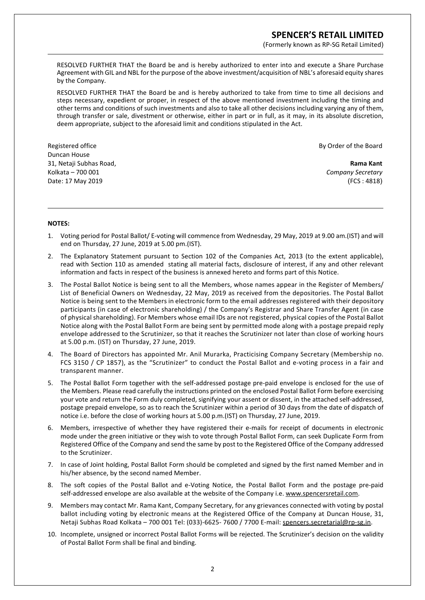(Formerly known as RP-SG Retail Limited)

 RESOLVED FURTHER THAT the Board be and is hereby authorized to enter into and execute a Share Purchase Agreement with GIL and NBL for the purpose of the above investment/acquisition of NBL's aforesaid equity shares by the Company.

 RESOLVED FURTHER THAT the Board be and is hereby authorized to take from time to time all decisions and steps necessary, expedient or proper, in respect of the above mentioned investment including the timing and other terms and conditions of such investments and also to take all other decisions including varying any of them, through transfer or sale, divestment or otherwise, either in part or in full, as it may, in its absolute discretion, deem appropriate, subject to the aforesaid limit and conditions stipulated in the Act.

Registered office **By Order of the Board** Duncan House 31, Netaji Subhas Road, **Rama Kant** Kolkata – 700 001 *Company Secretary* Date: 17 May 2019 (FCS : 4818)

### **NOTES:**

- 1. Voting period for Postal Ballot/ E-voting will commence from Wednesday, 29 May, 2019 at 9.00 am.(IST) and will end on Thursday, 27 June, 2019 at 5.00 pm.(IST).
- 2. The Explanatory Statement pursuant to Section 102 of the Companies Act, 2013 (to the extent applicable), read with Section 110 as amended stating all material facts, disclosure of interest, if any and other relevant information and facts in respect of the business is annexed hereto and forms part of this Notice.
- 3. The Postal Ballot Notice is being sent to all the Members, whose names appear in the Register of Members/ List of Beneficial Owners on Wednesday, 22 May, 2019 as received from the depositories. The Postal Ballot Notice is being sent to the Members in electronic form to the email addresses registered with their depository participants (in case of electronic shareholding) / the Company's Registrar and Share Transfer Agent (in case of physical shareholding). For Members whose email IDs are not registered, physical copies of the Postal Ballot Notice along with the Postal Ballot Form are being sent by permitted mode along with a postage prepaid reply envelope addressed to the Scrutinizer, so that it reaches the Scrutinizer not later than close of working hours at 5.00 p.m. (IST) on Thursday, 27 June, 2019.
- 4. The Board of Directors has appointed Mr. Anil Murarka, Practicising Company Secretary (Membership no. FCS 3150 / CP 1857), as the "Scrutinizer" to conduct the Postal Ballot and e-voting process in a fair and transparent manner.
- 5. The Postal Ballot Form together with the self-addressed postage pre-paid envelope is enclosed for the use of the Members. Please read carefully the instructions printed on the enclosed Postal Ballot Form before exercising your vote and return the Form duly completed, signifying your assent or dissent, in the attached self-addressed, postage prepaid envelope, so as to reach the Scrutinizer within a period of 30 days from the date of dispatch of notice i.e. before the close of working hours at 5.00 p.m.(IST) on Thursday, 27 June, 2019.
- 6. Members, irrespective of whether they have registered their e-mails for receipt of documents in electronic mode under the green initiative or they wish to vote through Postal Ballot Form, can seek Duplicate Form from Registered Office of the Company and send the same by post to the Registered Office of the Company addressed to the Scrutinizer.
- 7. In case of Joint holding, Postal Ballot Form should be completed and signed by the first named Member and in his/her absence, by the second named Member.
- 8. The soft copies of the Postal Ballot and e-Voting Notice, the Postal Ballot Form and the postage pre-paid self-addressed envelope are also available at the website of the Company i.e. www.spencersretail.com.
- 9. Members may contact Mr. Rama Kant, Company Secretary, for any grievances connected with voting by postal ballot including voting by electronic means at the Registered Office of the Company at Duncan House, 31, Netaji Subhas Road Kolkata – 700 001 Tel: (033)-6625- 7600 / 7700 E-mail: spencers.secretarial@rp-sg.in.
- 10. Incomplete, unsigned or incorrect Postal Ballot Forms will be rejected. The Scrutinizer's decision on the validity of Postal Ballot Form shall be final and binding.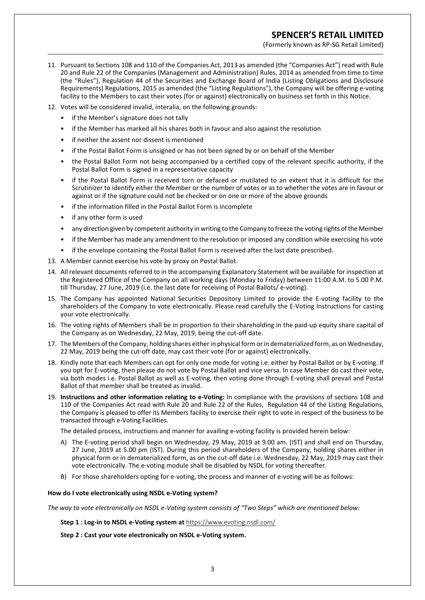(Formerly known as RP-SG Retail Limited)

- 11. Pursuant to Sections 108 and 110 of the Companies Act, 2013 as amended (the "Companies Act") read with Rule 20 and Rule 22 of the Companies (Management and Administration) Rules, 2014 as amended from time to time (the "Rules"), Regulation 44 of the Securities and Exchange Board of India (Listing Obligations and Disclosure Requirements) Regulations, 2015 as amended (the "Listing Regulations"), the Company will be offering e-voting facility to the Members to cast their votes (for or against) electronically on business set forth in this Notice.
- 12. Votes will be considered invalid, interalia, on the following grounds:
	- if the Member's signature does not tally
	- if the Member has marked all his shares both in favour and also against the resolution
	- if neither the assent nor dissent is mentioned
	- if the Postal Ballot Form is unsigned or has not been signed by or on behalf of the Member
	- the Postal Ballot Form not being accompanied by a certified copy of the relevant specific authority, if the Postal Ballot Form is signed in a representative capacity
	- if the Postal Ballot Form is received torn or defaced or mutilated to an extent that it is difficult for the Scrutinizer to identify either the Member or the number of votes or as to whether the votes are in favour or against or if the signature could not be checked or on one or more of the above grounds
	- if the information filled in the Postal Ballot Form is incomplete
	- if any other form is used
	- any direction given by competent authority in writing to the Company to freeze the voting rights of the Member
	- if the Member has made any amendment to the resolution or imposed any condition while exercising his vote
	- if the envelope containing the Postal Ballot Form is received after the last date prescribed.
- 13. A Member cannot exercise his vote by proxy on Postal Ballot.
- 14. All relevant documents referred to in the accompanying Explanatory Statement will be available for inspection at the Registered Office of the Company on all working days (Monday to Friday) between 11:00 A.M. to 5.00 P.M. till Thursday, 27 June, 2019 (i.e. the last date for receiving of Postal Ballots/ e-voting).
- 15. The Company has appointed National Securities Depository Limited to provide the E-voting facility to the shareholders of the Company to vote electronically. Please read carefully the E-Voting Instructions for casting your vote electronically.
- 16. The voting rights of Members shall be in proportion to their shareholding in the paid-up equity share capital of the Company as on Wednesday, 22 May, 2019, being the cut-off date.
- 17. The Members of the Company, holding shares either in physical form or in dematerialized form, as on Wednesday, 22 May, 2019 being the cut-off date, may cast their vote (for or against) electronically.
- 18. Kindly note that each Members can opt for only one mode for voting i.e. either by Postal Ballot or by E-voting. If you opt for E-voting, then please do not vote by Postal Ballot and vice versa. In case Member do cast their vote, via both modes i.e. Postal Ballot as well as E-voting, then voting done through E-voting shall prevail and Postal Ballot of that member shall be treated as invalid.
- 19. **Instructions and other information relating to e-Voting:** In compliance with the provisions of sections 108 and 110 of the Companies Act read with Rule 20 and Rule 22 of the Rules, Regulation 44 of the Listing Regulations, the Company is pleased to offer its Members facility to exercise their right to vote in respect of the business to be transacted through e-Voting Facilities.

The detailed process, instructions and manner for availing e-voting facility is provided herein below:

- A) The E-voting period shall begin on Wednesday, 29 May, 2019 at 9.00 am. (IST) and shall end on Thursday, 27 June, 2019 at 5.00 pm (IST). During this period shareholders of the Company, holding shares either in physical form or in dematerialized form, as on the cut-off date i.e. Wednesday, 22 May, 2019 may cast their vote electronically. The e-voting module shall be disabled by NSDL for voting thereafter.
- B) For those shareholders opting for e-voting, the process and manner of e-voting will be as follows:

#### **How do I vote electronically using NSDL e-Voting system?**

*The way to vote electronically on NSDL e-Voting system consists of "Two Steps" which are mentioned below:*

 **Step 1 : Log-in to NSDL e-Voting system at** https://www.evoting.nsdl.com/

 **Step 2 : Cast your vote electronically on NSDL e-Voting system.**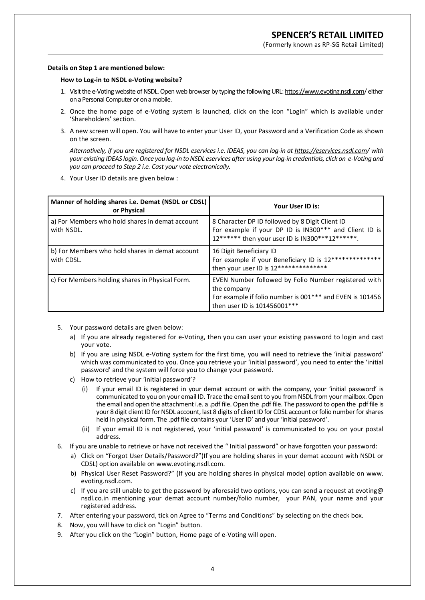(Formerly known as RP-SG Retail Limited)

#### **Details on Step 1 are mentioned below:**

#### **How to Log-in to NSDL e-Voting website?**

- 1. Visit the e-Voting website of NSDL. Open web browser by typing the following URL: https://www.evoting.nsdl.com/ either on a Personal Computer or on a mobile.
- 2. Once the home page of e-Voting system is launched, click on the icon "Login" which is available under 'Shareholders' section.
- 3. A new screen will open. You will have to enter your User ID, your Password and a Verification Code as shown on the screen.

 *Alternatively, if you are registered for NSDL eservices i.e. IDEAS, you can log-in at https://eservices.nsdl.com/ with your existing IDEAS login. Once you log-in to NSDL eservices after using your log-in credentials, click on e-Voting and you can proceed to Step 2 i.e. Cast your vote electronically.*

4. Your User ID details are given below :

| Manner of holding shares i.e. Demat (NSDL or CDSL)<br>or Physical | Your User ID is:                                                                                                                                                |  |  |
|-------------------------------------------------------------------|-----------------------------------------------------------------------------------------------------------------------------------------------------------------|--|--|
| a) For Members who hold shares in demat account<br>with NSDL.     | 8 Character DP ID followed by 8 Digit Client ID<br>For example if your DP ID is IN300*** and Client ID is<br>12****** then your user ID is IN300***12******.    |  |  |
| b) For Members who hold shares in demat account<br>with CDSL.     | 16 Digit Beneficiary ID<br>For example if your Beneficiary ID is 12**************<br>then your user ID is 12***************                                     |  |  |
| c) For Members holding shares in Physical Form.                   | EVEN Number followed by Folio Number registered with<br>the company<br>For example if folio number is 001*** and EVEN is 101456<br>then user ID is 101456001*** |  |  |

- 5. Your password details are given below:
	- a) If you are already registered for e-Voting, then you can user your existing password to login and cast your vote.
	- b) If you are using NSDL e-Voting system for the first time, you will need to retrieve the 'initial password' which was communicated to you. Once you retrieve your 'initial password', you need to enter the 'initial password' and the system will force you to change your password.
	- c) How to retrieve your 'initial password'?
		- (i) If your email ID is registered in your demat account or with the company, your 'initial password' is communicated to you on your email ID. Trace the email sent to you from NSDL from your mailbox. Open the email and open the attachment i.e. a .pdf file. Open the .pdf file. The password to open the .pdf file is your 8 digit client ID for NSDL account, last 8 digits of client ID for CDSL account or folio number for shares held in physical form. The .pdf file contains your 'User ID' and your 'initial password'.
		- (ii) If your email ID is not registered, your 'initial password' is communicated to you on your postal address.
- 6. If you are unable to retrieve or have not received the " Initial password" or have forgotten your password:
	- a) Click on "Forgot User Details/Password?"(If you are holding shares in your demat account with NSDL or CDSL) option available on www.evoting.nsdl.com.
	- b) Physical User Reset Password?" (If you are holding shares in physical mode) option available on www. evoting.nsdl.com.
	- c) If you are still unable to get the password by aforesaid two options, you can send a request at evoting@ nsdl.co.in mentioning your demat account number/folio number, your PAN, your name and your registered address.
- 7. After entering your password, tick on Agree to "Terms and Conditions" by selecting on the check box.
- 8. Now, you will have to click on "Login" button.
- 9. After you click on the "Login" button, Home page of e-Voting will open.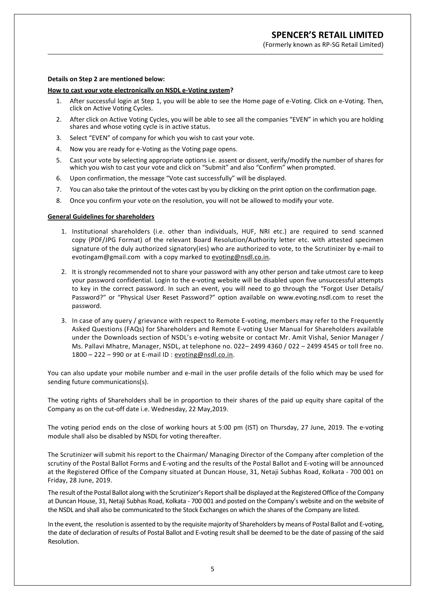(Formerly known as RP-SG Retail Limited)

#### **Details on Step 2 are mentioned below:**

### **How to cast your vote electronically on NSDL e-Voting system?**

- 1. After successful login at Step 1, you will be able to see the Home page of e-Voting. Click on e-Voting. Then, click on Active Voting Cycles.
- 2. After click on Active Voting Cycles, you will be able to see all the companies "EVEN" in which you are holding shares and whose voting cycle is in active status.
- 3. Select "EVEN" of company for which you wish to cast your vote.
- 4. Now you are ready for e-Voting as the Voting page opens.
- 5. Cast your vote by selecting appropriate options i.e. assent or dissent, verify/modify the number of shares for which you wish to cast your vote and click on "Submit" and also "Confirm" when prompted.
- 6. Upon confirmation, the message "Vote cast successfully" will be displayed.
- 7. You can also take the printout of the votes cast by you by clicking on the print option on the confirmation page.
- 8. Once you confirm your vote on the resolution, you will not be allowed to modify your vote.

#### **General Guidelines for shareholders**

- 1. Institutional shareholders (i.e. other than individuals, HUF, NRI etc.) are required to send scanned copy (PDF/JPG Format) of the relevant Board Resolution/Authority letter etc. with attested specimen signature of the duly authorized signatory(ies) who are authorized to vote, to the Scrutinizer by e-mail to evotingam@gmail.com with a copy marked to evoting@nsdl.co.in.
- 2. It is strongly recommended not to share your password with any other person and take utmost care to keep your password confidential. Login to the e-voting website will be disabled upon five unsuccessful attempts to key in the correct password. In such an event, you will need to go through the "Forgot User Details/ Password?" or "Physical User Reset Password?" option available on www.evoting.nsdl.com to reset the password.
- 3. In case of any query / grievance with respect to Remote E-voting, members may refer to the Frequently Asked Questions (FAQs) for Shareholders and Remote E-voting User Manual for Shareholders available under the Downloads section of NSDL's e-voting website or contact Mr. Amit Vishal, Senior Manager / Ms. Pallavi Mhatre, Manager, NSDL, at telephone no. 022– 2499 4360 / 022 – 2499 4545 or toll free no. 1800 – 222 – 990 or at E-mail ID : evoting@nsdl.co.in.

You can also update your mobile number and e-mail in the user profile details of the folio which may be used for sending future communications(s).

The voting rights of Shareholders shall be in proportion to their shares of the paid up equity share capital of the Company as on the cut-off date i.e. Wednesday, 22 May,2019.

The voting period ends on the close of working hours at 5:00 pm (IST) on Thursday, 27 June, 2019. The e-voting module shall also be disabled by NSDL for voting thereafter.

The Scrutinizer will submit his report to the Chairman/ Managing Director of the Company after completion of the scrutiny of the Postal Ballot Forms and E-voting and the results of the Postal Ballot and E-voting will be announced at the Registered Office of the Company situated at Duncan House, 31, Netaji Subhas Road, Kolkata - 700 001 on Friday, 28 June, 2019.

The result of the Postal Ballot along with the Scrutinizer's Report shall be displayed at the Registered Office of the Company at Duncan House, 31, Netaji Subhas Road, Kolkata - 700 001 and posted on the Company's website and on the website of the NSDL and shall also be communicated to the Stock Exchanges on which the shares of the Company are listed.

In the event, the resolution is assented to by the requisite majority of Shareholders by means of Postal Ballot and E-voting, the date of declaration of results of Postal Ballot and E-voting result shall be deemed to be the date of passing of the said Resolution.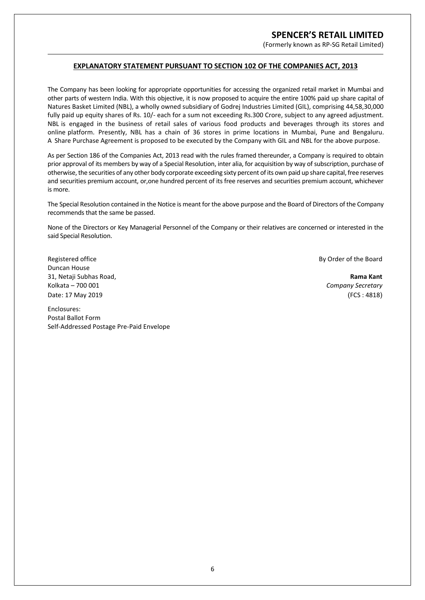(Formerly known as RP-SG Retail Limited)

### **EXPLANATORY STATEMENT PURSUANT TO SECTION 102 OF THE COMPANIES ACT, 2013**

The Company has been looking for appropriate opportunities for accessing the organized retail market in Mumbai and other parts of western India. With this objective, it is now proposed to acquire the entire 100% paid up share capital of Natures Basket Limited (NBL), a wholly owned subsidiary of Godrej Industries Limited (GIL), comprising 44,58,30,000 fully paid up equity shares of Rs. 10/- each for a sum not exceeding Rs.300 Crore, subject to any agreed adjustment. NBL is engaged in the business of retail sales of various food products and beverages through its stores and online platform. Presently, NBL has a chain of 36 stores in prime locations in Mumbai, Pune and Bengaluru. A Share Purchase Agreement is proposed to be executed by the Company with GIL and NBL for the above purpose.

As per Section 186 of the Companies Act, 2013 read with the rules framed thereunder, a Company is required to obtain prior approval of its members by way of a Special Resolution, inter alia, for acquisition by way of subscription, purchase of otherwise, the securities of any other body corporate exceeding sixty percent of its own paid up share capital, free reserves and securities premium account, or,one hundred percent of its free reserves and securities premium account, whichever is more.

The Special Resolution contained in the Notice is meant for the above purpose and the Board of Directors of the Company recommends that the same be passed.

None of the Directors or Key Managerial Personnel of the Company or their relatives are concerned or interested in the said Special Resolution.

Registered office **Board** By Order of the Board

Duncan House 31, Netaji Subhas Road, **Rama Kant** Kolkata – 700 001 *Company Secretary* Date: 17 May 2019 (FCS : 4818)

Enclosures: Postal Ballot Form Self-Addressed Postage Pre-Paid Envelope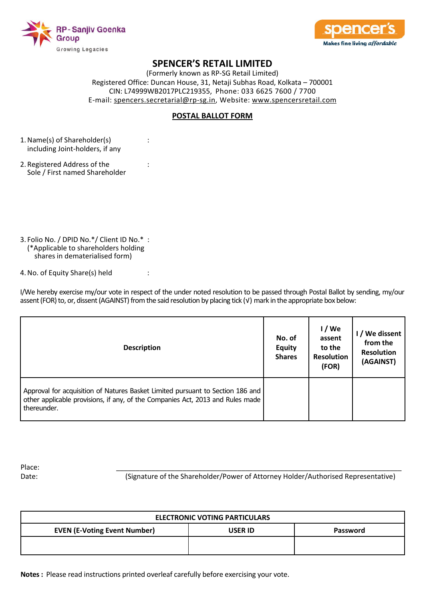



(Formerly known as RP-SG Retail Limited) Registered Office: Duncan House, 31, Netaji Subhas Road, Kolkata – 700001 CIN: L74999WB2017PLC219355, Phone: 033 6625 7600 / 7700 E-mail: spencers.secretarial@rp-sg.in, Website: www.spencersretail.com

### **POSTAL BALLOT FORM**

- 1. Name(s) of Shareholder(s) : including Joint-holders, if any
- 2. Registered Address of the : Sole / First named Shareholder
- 3. Folio No. / DPID No.\*/ Client ID No.\* : (\*Applicable to shareholders holding shares in dematerialised form)

4. No. of Equity Share(s) held :

I/We hereby exercise my/our vote in respect of the under noted resolution to be passed through Postal Ballot by sending, my/our assent (FOR) to, or, dissent (AGAINST) from the said resolution by placing tick (√) mark in the appropriate box below:

| <b>Description</b>                                                                                                                                                              | No. of<br><b>Equity</b><br><b>Shares</b> | $1/$ We<br>assent<br>to the<br><b>Resolution</b><br>(FOR) | I / We dissent<br>from the<br><b>Resolution</b><br>(AGAINST) |
|---------------------------------------------------------------------------------------------------------------------------------------------------------------------------------|------------------------------------------|-----------------------------------------------------------|--------------------------------------------------------------|
| Approval for acquisition of Natures Basket Limited pursuant to Section 186 and<br>other applicable provisions, if any, of the Companies Act, 2013 and Rules made<br>thereunder. |                                          |                                                           |                                                              |

Place: \_\_\_\_\_\_\_\_\_\_\_\_\_\_\_\_\_\_\_\_\_\_\_\_\_\_\_\_\_\_\_\_\_\_\_\_\_\_\_\_\_\_\_\_\_\_\_\_\_\_\_\_\_\_\_\_\_\_\_\_\_\_\_\_\_\_\_\_\_\_\_\_\_

Date: (Signature of the Shareholder/Power of Attorney Holder/Authorised Representative)

| <b>ELECTRONIC VOTING PARTICULARS</b> |          |  |  |  |
|--------------------------------------|----------|--|--|--|
| <b>USER ID</b>                       | Password |  |  |  |
|                                      |          |  |  |  |
|                                      |          |  |  |  |

**Notes :** Please read instructions printed overleaf carefully before exercising your vote.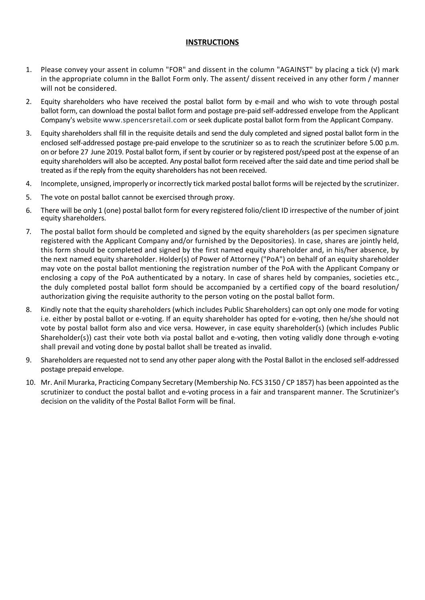### **INSTRUCTIONS**

- 1. Please convey your assent in column "FOR" and dissent in the column "AGAINST" by placing a tick (√) mark in the appropriate column in the Ballot Form only. The assent/ dissent received in any other form / manner will not be considered.
- 2. Equity shareholders who have received the postal ballot form by e-mail and who wish to vote through postal ballot form, can download the postal ballot form and postage pre-paid self-addressed envelope from the Applicant Company's website www.spencersretail.com or seek duplicate postal ballot form from the Applicant Company.
- 3. Equity shareholders shall fill in the requisite details and send the duly completed and signed postal ballot form in the enclosed self-addressed postage pre-paid envelope to the scrutinizer so as to reach the scrutinizer before 5.00 p.m. on or before 27 June 2019. Postal ballot form, if sent by courier or by registered post/speed post at the expense of an equity shareholders will also be accepted. Any postal ballot form received after the said date and time period shall be treated as if the reply from the equity shareholders has not been received.
- 4. Incomplete, unsigned, improperly or incorrectly tick marked postal ballot forms will be rejected by the scrutinizer.
- 5. The vote on postal ballot cannot be exercised through proxy.
- 6. There will be only 1 (one) postal ballot form for every registered folio/client ID irrespective of the number of joint equity shareholders.
- 7. The postal ballot form should be completed and signed by the equity shareholders (as per specimen signature registered with the Applicant Company and/or furnished by the Depositories). In case, shares are jointly held, this form should be completed and signed by the first named equity shareholder and, in his/her absence, by the next named equity shareholder. Holder(s) of Power of Attorney ("PoA") on behalf of an equity shareholder may vote on the postal ballot mentioning the registration number of the PoA with the Applicant Company or enclosing a copy of the PoA authenticated by a notary. In case of shares held by companies, societies etc., the duly completed postal ballot form should be accompanied by a certified copy of the board resolution/ authorization giving the requisite authority to the person voting on the postal ballot form.
- 8. Kindly note that the equity shareholders (which includes Public Shareholders) can opt only one mode for voting i.e. either by postal ballot or e-voting. If an equity shareholder has opted for e-voting, then he/she should not vote by postal ballot form also and vice versa. However, in case equity shareholder(s) (which includes Public Shareholder(s)) cast their vote both via postal ballot and e-voting, then voting validly done through e-voting shall prevail and voting done by postal ballot shall be treated as invalid.
- 9. Shareholders are requested not to send any other paper along with the Postal Ballot in the enclosed self-addressed postage prepaid envelope.
- 10. Mr. Anil Murarka, Practicing Company Secretary (Membership No. FCS 3150 / CP 1857) has been appointed as the scrutinizer to conduct the postal ballot and e-voting process in a fair and transparent manner. The Scrutinizer's decision on the validity of the Postal Ballot Form will be final.